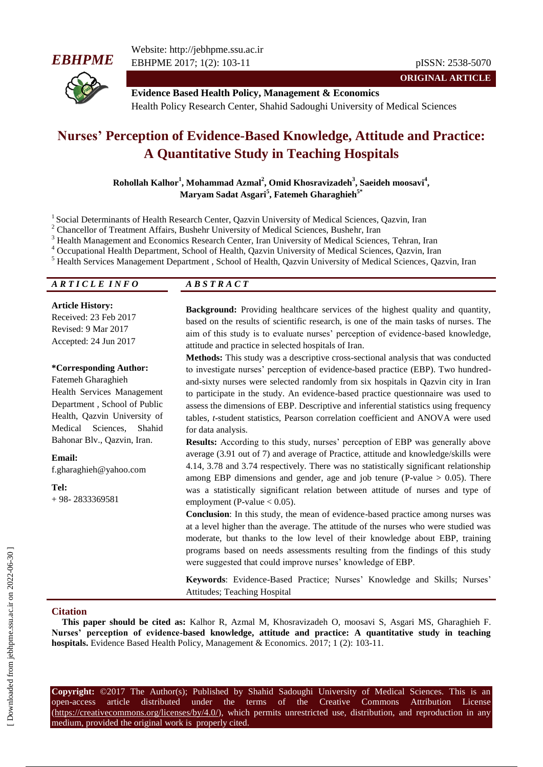



Website: http://jebhpme.ssu.ac.ir EBHPME 2017; 1(2): 103-11 pISSN: 2538-5070

**ORIGINAL ARTICLE**

**Evidence Based Health Policy, Management & Economics** Health Policy Research Center, Shahid Sadoughi University of Medical Sciences

# **Nurses' Perception of Evidence-Based Knowledge, Attitude and Practice: A Quantitative Study in Teaching Hospitals**

**Rohollah Kalhor<sup>1</sup> , Mohammad Azmal<sup>2</sup> , Omid Khosravizadeh<sup>3</sup> , Saeideh moosavi<sup>4</sup> , Maryam Sadat Asgari<sup>5</sup> , Fatemeh Gharaghieh5\***

<sup>1</sup> Social Determinants of Health Research Center, Qazvin University of Medical Sciences, Qazvin, Iran

<sup>2</sup> Chancellor of Treatment Affairs, Bushehr University of Medical Sciences, Bushehr, Iran

<sup>3</sup> Health Management and Economics Research Center, Iran University of Medical Sciences, Tehran, Iran

<sup>4</sup> Occupational Health Department, School of Health, Qazvin University of Medical Sciences, Qazvin, Iran

<sup>5</sup> Health Services Management Department , School of Health, Qazvin University of Medical Sciences, Qazvin, Iran

*A R T I C L E I N F O A B S T R A C T*

**Article History:** Received: 23 Feb 2017 Revised: 9 Mar 2017 Accepted: 24 Jun 2017

#### **\*Corresponding Author:**

Fatemeh Gharaghieh Health Services Management Department , School of Public Health, Qazvin University of Medical Sciences, Shahid Bahonar Blv., Qazvin, Iran.

**Email:**

f.gharaghieh@yahoo.com

**Tel:** + 98- 2833369581

**Background:** Providing healthcare services of the highest quality and quantity, based on the results of scientific research, is one of the main tasks of nurses. The aim of this study is to evaluate nurses' perception of evidence-based knowledge, attitude and practice in selected hospitals of Iran.

**Methods:** This study was a descriptive cross-sectional analysis that was conducted to investigate nurses" perception of evidence-based practice (EBP). Two hundredand-sixty nurses were selected randomly from six hospitals in Qazvin city in Iran to participate in the study. An evidence-based practice questionnaire was used to assess the dimensions of EBP. Descriptive and inferential statistics using frequency tables, *t*-student statistics, Pearson correlation coefficient and ANOVA were used for data analysis.

**Results:** According to this study, nurses' perception of EBP was generally above average (3.91 out of 7) and average of Practice, attitude and knowledge/skills were 4.14, 3.78 and 3.74 respectively. There was no statistically significant relationship among EBP dimensions and gender, age and job tenure (P-value  $> 0.05$ ). There was a statistically significant relation between attitude of nurses and type of employment (P-value  $< 0.05$ ).

**Conclusion**: In this study, the mean of evidence-based practice among nurses was at a level higher than the average. The attitude of the nurses who were studied was moderate, but thanks to the low level of their knowledge about EBP, training programs based on needs assessments resulting from the findings of this study were suggested that could improve nurses' knowledge of EBP.

**Keywords**: Evidence-Based Practice; Nurses' Knowledge and Skills; Nurses' Attitudes; Teaching Hospital

### **Citation**

**This paper should be cited as:** Kalhor R, Azmal M, Khosravizadeh O, moosavi S, Asgari MS, Gharaghieh F. **Nurses' perception of evidence-based knowledge, attitude and practice: A quantitative study in teaching hospitals.** Evidence Based Health Policy, Management & Economics. 2017; 1 (2): 103-11.

**Copyright:** ©2017 The Author(s); Published by Shahid Sadoughi University of Medical Sciences. This is an open-access article distributed under the terms of the Creative Commons Attribution License (https://creativecommons.org/licenses/by/4.0/), which permits unrestricted use, distribution, and reproduction in any medium, provided the original work is properly cited.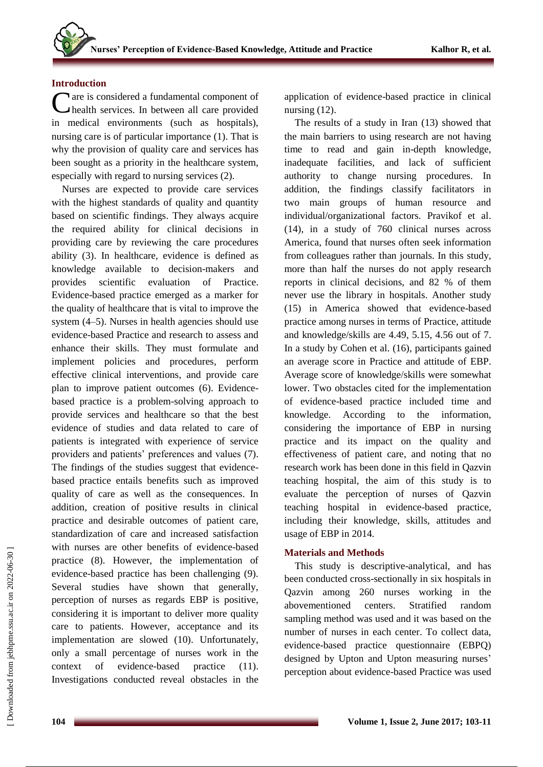# **Introduction**

Care is considered a fundamental component of<br>
Chealth services. In between all care provided health services. In between all care provided in medical environments (such as hospitals), nursing care is of particular importance (1). That is why the provision of quality care and services has been sought as a priority in the healthcare system, especially with regard to nursing services (2).

Nurses are expected to provide care services with the highest standards of quality and quantity based on scientific findings. They always acquire the required ability for clinical decisions in providing care by reviewing the care procedures ability (3). In healthcare, evidence is defined as knowledge available to decision-makers and provides scientific evaluation of Practice. Evidence-based practice emerged as a marker for the quality of healthcare that is vital to improve the system (4–5). Nurses in health agencies should use evidence-based Practice and research to assess and enhance their skills. They must formulate and implement policies and procedures, perform effective clinical interventions, and provide care plan to improve patient outcomes (6). Evidencebased practice is a problem-solving approach to provide services and healthcare so that the best evidence of studies and data related to care of patients is integrated with experience of service providers and patients" preferences and values (7). The findings of the studies suggest that evidencebased practice entails benefits such as improved quality of care as well as the consequences. In addition, creation of positive results in clinical practice and desirable outcomes of patient care, standardization of care and increased satisfaction with nurses are other benefits of evidence-based practice (8). However, the implementation of evidence-based practice has been challenging (9). Several studies have shown that generally, perception of nurses as regards EBP is positive, considering it is important to deliver more quality care to patients. However, acceptance and its implementation are slowed (10). Unfortunately, only a small percentage of nurses work in the context of evidence-based practice (11). Investigations conducted reveal obstacles in the

application of evidence-based practice in clinical nursing (12).

The results of a study in Iran (13) showed that the main barriers to using research are not having time to read and gain in-depth knowledge, inadequate facilities, and lack of sufficient authority to change nursing procedures. In addition, the findings classify facilitators in two main groups of human resource and individual/organizational factors. Pravikof et al. (14), in a study of 760 clinical nurses across America, found that nurses often seek information from colleagues rather than journals. In this study, more than half the nurses do not apply research reports in clinical decisions, and 82 % of them never use the library in hospitals. Another study (15) in America showed that evidence-based practice among nurses in terms of Practice, attitude and knowledge/skills are 4.49, 5.15, 4.56 out of 7. In a study by Cohen et al. (16), participants gained an average score in Practice and attitude of EBP. Average score of knowledge/skills were somewhat lower. Two obstacles cited for the implementation of evidence-based practice included time and knowledge. According to the information, considering the importance of EBP in nursing practice and its impact on the quality and effectiveness of patient care, and noting that no research work has been done in this field in Qazvin teaching hospital, the aim of this study is to evaluate the perception of nurses of Qazvin teaching hospital in evidence-based practice, including their knowledge, skills, attitudes and usage of EBP in 2014.

# **Materials and Methods**

This study is descriptive-analytical, and has been conducted cross-sectionally in six hospitals in Qazvin among 260 nurses working in the abovementioned centers. Stratified random sampling method was used and it was based on the number of nurses in each center. To collect data, evidence-based practice questionnaire (EBPQ) designed by Upton and Upton measuring nurses' perception about evidence-based Practice was used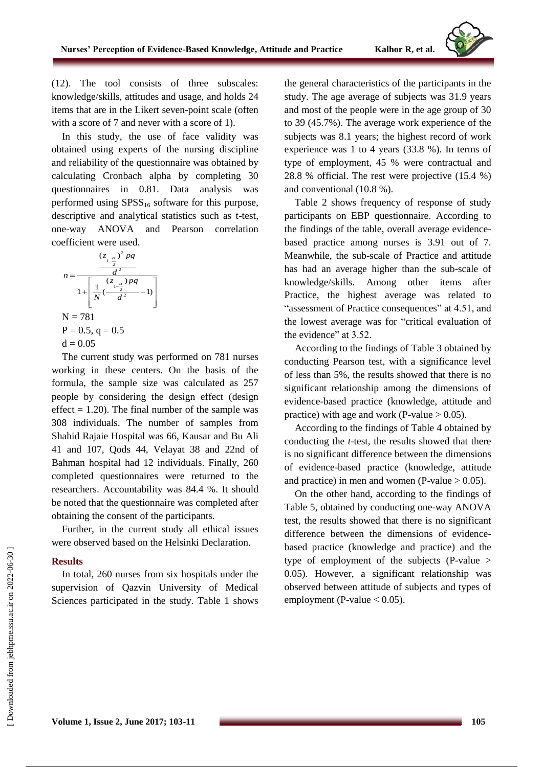

(12). The tool consists of three subscales: knowledge/skills, attitudes and usage, and holds 24 items that are in the Likert seven-point scale (often with a score of 7 and never with a score of 1).

In this study, the use of face validity was obtained using experts of the nursing discipline and reliability of the questionnaire was obtained by calculating Cronbach alpha by completing 30 questionnaires in 0.81. Data analysis was performed using  $SPSS_{16}$  software for this purpose, descriptive and analytical statistics such as t-test, one-way ANOVA and Pearson correlation coefficient were used.

$$
n = \frac{\frac{(z_{1-\frac{\alpha}{2}})^2 pq}{d^2}}{1 + \left[\frac{1}{N}(\frac{(z_{1-\frac{\alpha}{2}}) pq}{d^2} - 1)\right]}
$$
  
N = 781  
P = 0.5, q = 0.5  
d = 0.05

The current study was performed on 781 nurses working in these centers. On the basis of the formula, the sample size was calculated as 257 people by considering the design effect (design effect  $= 1.20$ ). The final number of the sample was 308 individuals. The number of samples from Shahid Rajaie Hospital was 66, Kausar and Bu Ali 41 and 107, Qods 44, Velayat 38 and 22nd of Bahman hospital had 12 individuals. Finally, 260 completed questionnaires were returned to the researchers. Accountability was 84.4 %. It should be noted that the questionnaire was completed after obtaining the consent of the participants.

Further, in the current study all ethical issues were observed based on the Helsinki Declaration.

### **Results**

In total, 260 nurses from six hospitals under the supervision of Qazvin University of Medical Sciences participated in the study. Table 1 shows the general characteristics of the participants in the study. The age average of subjects was 31.9 years and most of the people were in the age group of 30 to 39 (45.7%). The average work experience of the subjects was 8.1 years; the highest record of work experience was 1 to 4 years (33.8 %). In terms of type of employment, 45 % were contractual and 28.8 % official. The rest were projective (15.4 %) and conventional (10.8 %).

Table 2 shows frequency of response of study participants on EBP questionnaire. According to the findings of the table, overall average evidencebased practice among nurses is 3.91 out of 7. Meanwhile, the sub-scale of Practice and attitude has had an average higher than the sub-scale of knowledge/skills. Among other items after Practice, the highest average was related to "assessment of Practice consequences" at 4.51, and the lowest average was for "critical evaluation of the evidence" at 3.52.

According to the findings of Table 3 obtained by conducting Pearson test, with a significance level of less than 5%, the results showed that there is no significant relationship among the dimensions of evidence-based practice (knowledge, attitude and practice) with age and work (P-value  $> 0.05$ ).

According to the findings of Table 4 obtained by conducting the *t*-test, the results showed that there is no significant difference between the dimensions of evidence-based practice (knowledge, attitude and practice) in men and women (P-value  $> 0.05$ ).

On the other hand, according to the findings of Table 5, obtained by conducting one-way ANOVA test, the results showed that there is no significant difference between the dimensions of evidencebased practice (knowledge and practice) and the type of employment of the subjects (P-value > 0.05). However, a significant relationship was observed between attitude of subjects and types of employment (P-value  $< 0.05$ ).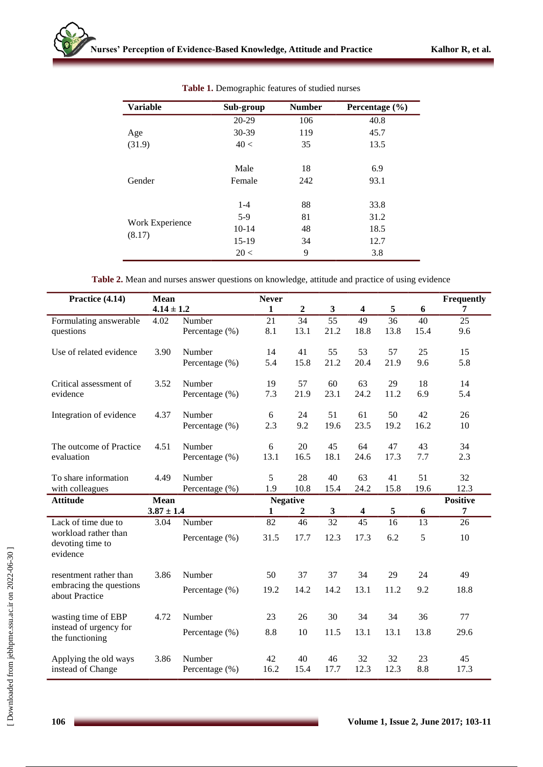| <b>Variable</b>           | Sub-group | <b>Number</b> | Percentage $(\% )$ |
|---------------------------|-----------|---------------|--------------------|
|                           | 20-29     | 106           | 40.8               |
| Age                       | 30-39     | 119           | 45.7               |
| (31.9)                    | 40 <      | 35            | 13.5               |
|                           | Male      | 18            | 6.9                |
| Gender                    | Female    | 242           | 93.1               |
|                           | $1 - 4$   | 88            | 33.8               |
|                           | $5-9$     | 81            | 31.2               |
| Work Experience<br>(8.17) | $10-14$   | 48            | 18.5               |
|                           | $15-19$   | 34            | 12.7               |
|                           | 20<       | 9             | 3.8                |

**Table 1.** Demographic features of studied nurses

| Table 2. Mean and nurses answer questions on knowledge, attitude and practice of using evidence |  |  |  |  |  |  |
|-------------------------------------------------------------------------------------------------|--|--|--|--|--|--|
|-------------------------------------------------------------------------------------------------|--|--|--|--|--|--|

| Practice (4.14)                                      | <b>Mean</b>    |                | <b>Never</b>    |                  |                 |                         |            |      | Frequently      |
|------------------------------------------------------|----------------|----------------|-----------------|------------------|-----------------|-------------------------|------------|------|-----------------|
|                                                      | $4.14 \pm 1.2$ |                | 1               | $\overline{2}$   | $\mathbf{3}$    | $\overline{\mathbf{4}}$ | 5          | 6    | 7               |
| Formulating answerable                               | 4.02           | Number         | 21              | 34               | 55              | 49                      | 36         | 40   | 25              |
| questions                                            |                | Percentage (%) | 8.1             | 13.1             | 21.2            | 18.8                    | 13.8       | 15.4 | 9.6             |
| Use of related evidence                              | 3.90           | Number         | 14              | 41               | 55              | 53                      | 57         | 25   | 15              |
|                                                      |                | Percentage (%) | 5.4             | 15.8             | 21.2            | 20.4                    | 21.9       | 9.6  | 5.8             |
| Critical assessment of                               | 3.52           | Number         | 19              | 57               | 60              | 63                      | 29         | 18   | 14              |
| evidence                                             |                | Percentage (%) | 7.3             | 21.9             | 23.1            | 24.2                    | 11.2       | 6.9  | 5.4             |
| Integration of evidence                              | 4.37           | Number         | 6               | 24               | 51              | 61                      | 50         | 42   | 26              |
|                                                      |                | Percentage (%) | 2.3             | 9.2              | 19.6            | 23.5                    | 19.2       | 16.2 | 10              |
| The outcome of Practice                              | 4.51           | Number         | 6               | 20               | 45              | 64                      | 47         | 43   | 34              |
| evaluation                                           |                | Percentage (%) | 13.1            | 16.5             | 18.1            | 24.6                    | 17.3       | 7.7  | 2.3             |
| To share information                                 | 4.49           | Number         | 5               | 28               | 40              | 63                      | 41         | 51   | 32              |
| with colleagues                                      |                | Percentage (%) | 1.9             | 10.8             | 15.4            | 24.2                    | 15.8       | 19.6 | 12.3            |
| <b>Attitude</b>                                      | Mean           |                | <b>Negative</b> |                  |                 |                         |            |      | <b>Positive</b> |
|                                                      | $3.87 \pm 1.4$ |                | 1               | $\boldsymbol{2}$ | 3               | $\overline{\mathbf{4}}$ | $\sqrt{5}$ | 6    | 7               |
| Lack of time due to                                  | 3.04           | Number         | 82              | 46               | $\overline{32}$ | $\overline{45}$         | 16         | 13   | 26              |
| workload rather than<br>devoting time to<br>evidence |                | Percentage (%) | 31.5            | 17.7             | 12.3            | 17.3                    | 6.2        | 5    | 10              |
| resentment rather than                               | 3.86           | Number         | 50              | 37               | 37              | 34                      | 29         | 24   | 49              |
| embracing the questions<br>about Practice            |                | Percentage (%) | 19.2            | 14.2             | 14.2            | 13.1                    | 11.2       | 9.2  | 18.8            |
| wasting time of EBP                                  | 4.72           | Number         | 23              | 26               | 30              | 34                      | 34         | 36   | 77              |
| instead of urgency for<br>the functioning            |                | Percentage (%) | 8.8             | 10               | 11.5            | 13.1                    | 13.1       | 13.8 | 29.6            |
| Applying the old ways                                | 3.86           | Number         | 42              | 40               | 46              | 32                      | 32         | 23   | 45              |
| instead of Change                                    |                | Percentage (%) | 16.2            | 15.4             | 17.7            | 12.3                    | 12.3       | 8.8  | 17.3            |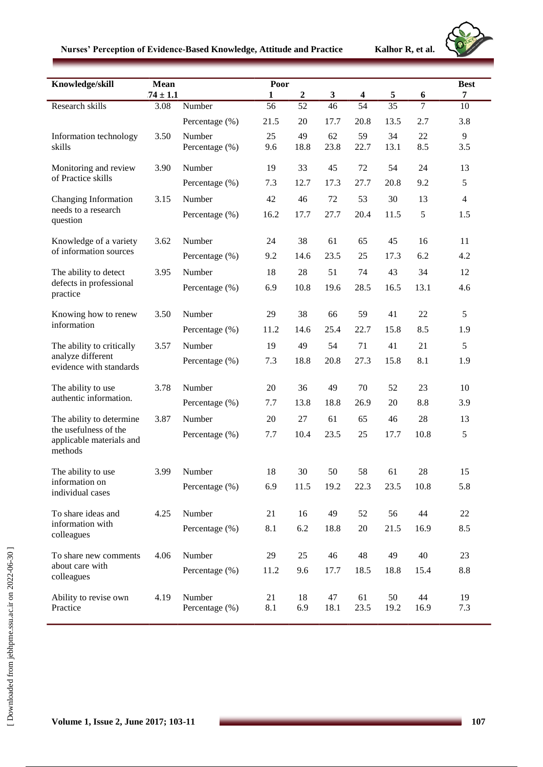|  |  | Nurses' Perception of Evidence-Based Knowledge, Attitude and Practice |  |  |  |  |
|--|--|-----------------------------------------------------------------------|--|--|--|--|
|--|--|-----------------------------------------------------------------------|--|--|--|--|

**Kalhor R, et al.** 



| Knowledge/skill                              | Mean           |                | Poor         |                  |              |                         |      |                | <b>Best</b>    |
|----------------------------------------------|----------------|----------------|--------------|------------------|--------------|-------------------------|------|----------------|----------------|
|                                              | $74 \pm 1.1$   |                | $\mathbf{1}$ | $\boldsymbol{2}$ | $\mathbf{3}$ | $\overline{\mathbf{4}}$ | 5    | 6              | 7              |
| Research skills                              | 3.08           | Number         | 56           | 52               | 46           | $\overline{54}$         | 35   | $\overline{7}$ | 10             |
|                                              |                | Percentage (%) | 21.5         | 20               | 17.7         | 20.8                    | 13.5 | 2.7            | 3.8            |
| Information technology                       | 3.50           | Number         | 25           | 49               | 62           | 59                      | 34   | 22             | 9              |
| skills                                       |                | Percentage (%) | 9.6          | 18.8             | 23.8         | 22.7                    | 13.1 | 8.5            | 3.5            |
| Monitoring and review                        | 3.90           | Number         | 19           | 33               | 45           | 72                      | 54   | 24             | 13             |
| of Practice skills                           |                | Percentage (%) | 7.3          | 12.7             | 17.3         | 27.7                    | 20.8 | 9.2            | 5              |
| Changing Information                         | 3.15           | Number         | 42           | 46               | 72           | 53                      | 30   | 13             | $\overline{4}$ |
| needs to a research<br>question              |                | Percentage (%) | 16.2         | 17.7             | 27.7         | 20.4                    | 11.5 | 5              | 1.5            |
| Knowledge of a variety                       | 3.62           | Number         | 24           | 38               | 61           | 65                      | 45   | 16             | 11             |
| of information sources                       |                | Percentage (%) | 9.2          | 14.6             | 23.5         | 25                      | 17.3 | 6.2            | 4.2            |
| The ability to detect                        | 3.95           | Number         | 18           | 28               | 51           | 74                      | 43   | 34             | 12             |
| defects in professional<br>practice          |                | Percentage (%) | 6.9          | 10.8             | 19.6         | 28.5                    | 16.5 | 13.1           | 4.6            |
|                                              |                |                |              |                  |              |                         |      |                |                |
| Knowing how to renew<br>information          | 3.50           | Number         | 29           | 38               | 66           | 59                      | 41   | 22             | 5              |
|                                              |                | Percentage (%) | 11.2         | 14.6             | 25.4         | 22.7                    | 15.8 | 8.5            | 1.9            |
| The ability to critically                    | 3.57           | Number         | 19           | 49               | 54           | 71                      | 41   | 21             | 5              |
| analyze different<br>evidence with standards |                | Percentage (%) | 7.3          | 18.8             | 20.8         | 27.3                    | 15.8 | 8.1            | 1.9            |
| The ability to use                           | 3.78           | Number         | 20           | 36               | 49           | 70                      | 52   | 23             | 10             |
| authentic information.                       | Percentage (%) | 7.7            | 13.8         | 18.8             | 26.9         | 20                      | 8.8  | 3.9            |                |
| The ability to determine                     | 3.87           | Number         | 20           | 27               | 61           | 65                      | 46   | 28             | 13             |
| the usefulness of the                        |                | Percentage (%) | 7.7          | 10.4             | 23.5         | 25                      | 17.7 | 10.8           | 5              |
| applicable materials and<br>methods          |                |                |              |                  |              |                         |      |                |                |
| The ability to use                           | 3.99           | Number         | 18           | 30               | 50           | 58                      | 61   | 28             | 15             |
| information on<br>individual cases           |                | Percentage (%) | 6.9          | 11.5             | 19.2         | 22.3                    | 23.5 | 10.8           | 5.8            |
| To share ideas and                           | 4.25           | Number         | 21           | 16               | 49           | 52                      | 56   | 44             | 22             |
| information with<br>colleagues               |                | Percentage (%) | 8.1          | 6.2              | 18.8         | $20\,$                  | 21.5 | 16.9           | 8.5            |
| To share new comments                        | 4.06           | Number         | 29           | 25               | 46           | 48                      | 49   | 40             | 23             |
| about care with                              |                | Percentage (%) | 11.2         | 9.6              | 17.7         | 18.5                    | 18.8 | 15.4           | 8.8            |
| colleagues                                   |                |                |              |                  |              |                         |      |                |                |
| Ability to revise own                        | 4.19           | Number         | 21           | 18               | 47           | 61                      | 50   | 44             | 19             |
| Practice                                     |                | Percentage (%) | 8.1          | 6.9              | 18.1         | 23.5                    | 19.2 | 16.9           | 7.3            |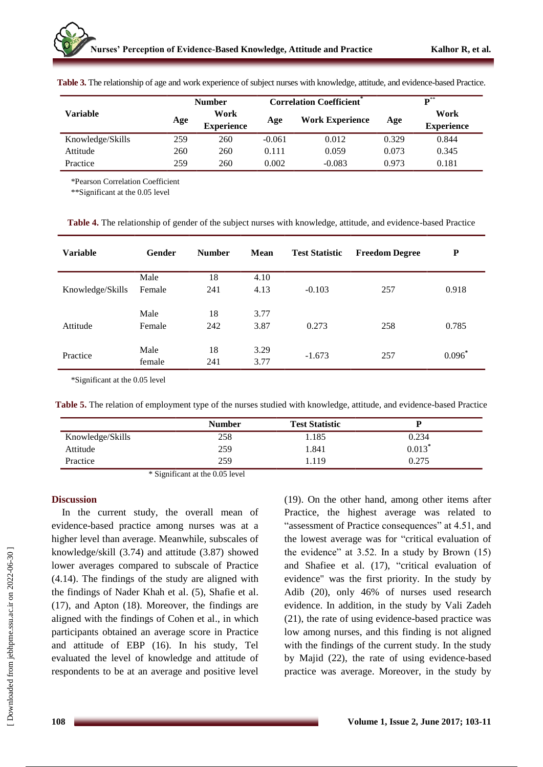|                  |     | <b>Number</b>             |          | <b>Correlation Coefficient</b> ® | $\mathbf{D}^{**}$ |                           |  |
|------------------|-----|---------------------------|----------|----------------------------------|-------------------|---------------------------|--|
| Variable         | Age | Work<br><b>Experience</b> | Age      | Work Experience                  | Age               | Work<br><b>Experience</b> |  |
| Knowledge/Skills | 259 | 260                       | $-0.061$ | 0.012                            | 0.329             | 0.844                     |  |
| Attitude         | 260 | 260                       | 0.111    | 0.059                            | 0.073             | 0.345                     |  |
| Practice         | 259 | 260                       | 0.002    | $-0.083$                         | 0.973             | 0.181                     |  |

**Table 3.** The relationship of age and work experience of subject nurses with knowledge, attitude, and evidence-based Practice.

\*Pearson Correlation Coefficient

\*\*Significant at the 0.05 level

**Table 4.** The relationship of gender of the subject nurses with knowledge, attitude, and evidence-based Practice

| <b>Variable</b>  | Gender         | <b>Number</b> | <b>Mean</b>  | <b>Test Statistic</b> | <b>Freedom Degree</b> | $\mathbf P$ |
|------------------|----------------|---------------|--------------|-----------------------|-----------------------|-------------|
|                  | Male           | 18            | 4.10         |                       |                       |             |
| Knowledge/Skills | Female         | 241           | 4.13         | $-0.103$              | 257                   | 0.918       |
|                  | Male           | 18            | 3.77         |                       |                       |             |
| Attitude         | Female         | 242           | 3.87         | 0.273                 | 258                   | 0.785       |
| Practice         | Male<br>female | 18<br>241     | 3.29<br>3.77 | $-1.673$              | 257                   | $0.096*$    |

\*Significant at the 0.05 level

**Table 5.** The relation of employment type of the nurses studied with knowledge, attitude, and evidence-based Practice

|                  | <b>Number</b> | <b>Test Statistic</b> |          |
|------------------|---------------|-----------------------|----------|
| Knowledge/Skills | 258           | 1.185                 | 0.234    |
| Attitude         | 259           | 1.841                 | $0.013*$ |
| Practice         | 259           | .119                  | 0.275    |

\* Significant at the 0.05 level

### **Discussion**

In the current study, the overall mean of evidence-based practice among nurses was at a higher level than average. Meanwhile, subscales of knowledge/skill (3.74) and attitude (3.87) showed lower averages compared to subscale of Practice (4.14). The findings of the study are aligned with the findings of Nader Khah et al. (5), Shafie et al. (17), and Apton (18). Moreover, the findings are aligned with the findings of Cohen et al., in which participants obtained an average score in Practice and attitude of EBP (16). In his study, Tel evaluated the level of knowledge and attitude of respondents to be at an average and positive level (19). On the other hand, among other items after Practice, the highest average was related to "assessment of Practice consequences" at 4.51, and the lowest average was for "critical evaluation of the evidence" at 3.52. In a study by Brown (15) and Shafiee et al. (17), "critical evaluation of evidence" was the first priority. In the study by Adib (20), only 46% of nurses used research evidence. In addition, in the study by Vali Zadeh (21), the rate of using evidence-based practice was low among nurses, and this finding is not aligned with the findings of the current study. In the study by Majid (22), the rate of using evidence-based practice was average. Moreover, in the study by

 [\[ Downloaded from jebhpme.ssu.ac.ir on 2](https://jebhpme.ssu.ac.ir/article-1-69-fa.html)022-06-30 ] Downloaded from jebhpme.ssu.ac.ir on 2022-06-30]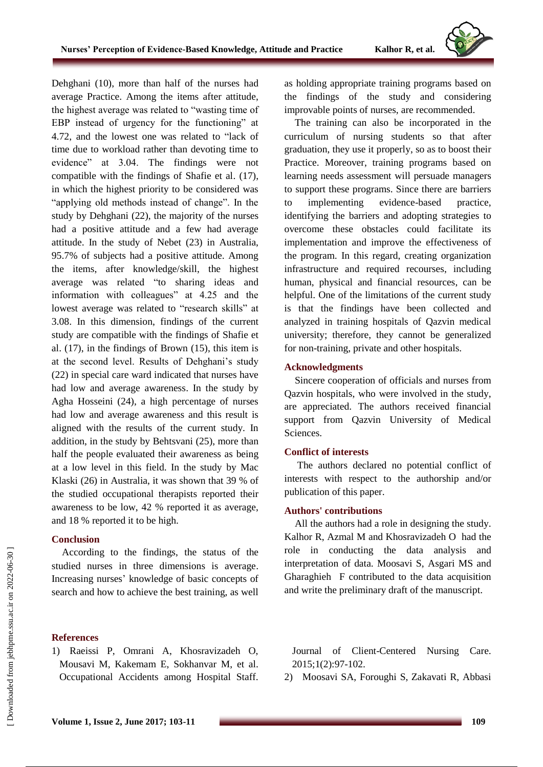Dehghani (10), more than half of the nurses had average Practice. Among the items after attitude, the highest average was related to "wasting time of EBP instead of urgency for the functioning" at 4.72, and the lowest one was related to "lack of time due to workload rather than devoting time to evidence" at 3.04. The findings were not compatible with the findings of Shafie et al. (17), in which the highest priority to be considered was "applying old methods instead of change". In the study by Dehghani (22), the majority of the nurses had a positive attitude and a few had average attitude. In the study of Nebet (23) in Australia, 95.7% of subjects had a positive attitude. Among the items, after knowledge/skill, the highest average was related "to sharing ideas and information with colleagues" at 4.25 and the lowest average was related to "research skills" at 3.08. In this dimension, findings of the current study are compatible with the findings of Shafie et al. (17), in the findings of Brown (15), this item is at the second level. Results of Dehghani's study (22) in special care ward indicated that nurses have had low and average awareness. In the study by Agha Hosseini (24), a high percentage of nurses had low and average awareness and this result is aligned with the results of the current study. In addition, in the study by Behtsvani (25), more than half the people evaluated their awareness as being at a low level in this field. In the study by Mac Klaski (26) in Australia, it was shown that 39 % of the studied occupational therapists reported their awareness to be low, 42 % reported it as average, and 18 % reported it to be high.

# **Conclusion**

According to the findings, the status of the studied nurses in three dimensions is average. Increasing nurses" knowledge of basic concepts of search and how to achieve the best training, as well

# **References**

1) Raeissi P, Omrani A, Khosravizadeh O, Mousavi M, Kakemam E, Sokhanvar M, et al. Occupational Accidents among Hospital Staff. as holding appropriate training programs based on the findings of the study and considering improvable points of nurses, are recommended.

The training can also be incorporated in the curriculum of nursing students so that after graduation, they use it properly, so as to boost their Practice. Moreover, training programs based on learning needs assessment will persuade managers to support these programs. Since there are barriers to implementing evidence-based practice, identifying the barriers and adopting strategies to overcome these obstacles could facilitate its implementation and improve the effectiveness of the program. In this regard, creating organization infrastructure and required recourses, including human, physical and financial resources, can be helpful. One of the limitations of the current study is that the findings have been collected and analyzed in training hospitals of Qazvin medical university; therefore, they cannot be generalized for non-training, private and other hospitals.

## **Acknowledgments**

Sincere cooperation of officials and nurses from Qazvin hospitals, who were involved in the study, are appreciated. The authors received financial support from Qazvin University of Medical Sciences.

# **Conflict of interests**

The authors declared no potential conflict of interests with respect to the authorship and/or publication of this paper.

# **Authors' contributions**

All the authors had a role in designing the study. Kalhor R, Azmal M and Khosravizadeh O had the role in conducting the data analysis and interpretation of data. Moosavi S, Asgari MS and Gharaghieh F contributed to the data acquisition and write the preliminary draft of the manuscript.

Journal of Client-Centered Nursing Care. 2015;1(2):97-102.

2) Moosavi SA, Foroughi S, Zakavati R, Abbasi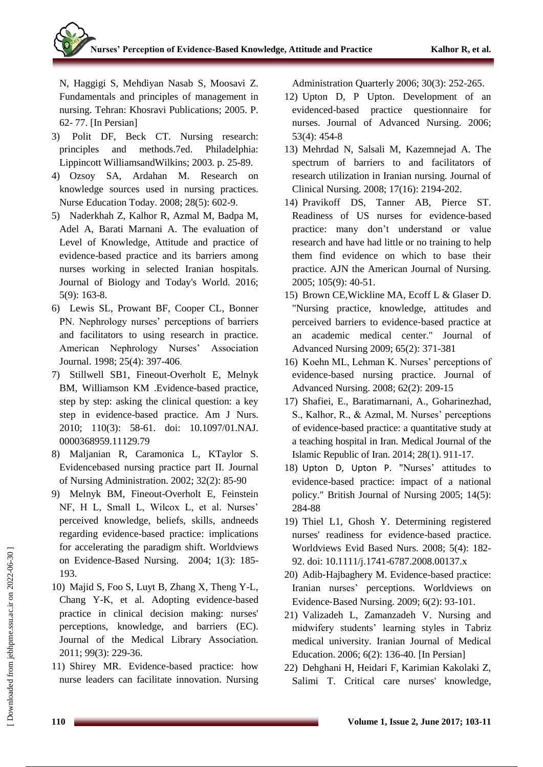N, Haggigi S, Mehdiyan Nasab S, Moosavi Z. Fundamentals and principles of management in nursing. Tehran: Khosravi Publications; 2005. P. 62- 77. [In Persian]

- 3) Polit DF, Beck CT. Nursing research: principles and methods.7ed. Philadelphia: Lippincott WilliamsandWilkins; 2003. p. 25-89.
- 4) Ozsoy SA, Ardahan M. Research on knowledge sources used in nursing practices. Nurse Education Today. 2008; 28(5): 602-9.
- 5) Naderkhah Z, Kalhor R, Azmal M, Badpa M, Adel A, Barati Marnani A. The evaluation of Level of Knowledge, Attitude and practice of evidence-based practice and its barriers among nurses working in selected Iranian hospitals. Journal of Biology and Today's World. 2016; 5(9): 163-8.
- 6) Lewis SL, Prowant BF, Cooper CL, Bonner PN. Nephrology nurses' perceptions of barriers and facilitators to using research in practice. American Nephrology Nurses' Association Journal. 1998; 25(4): 397-406.
- 7) [Stillwell SB1](http://www.ncbi.nlm.nih.gov/pubmed?term=Stillwell%20SB%5BAuthor%5D&cauthor=true&cauthor_uid=20179464), [Fineout-Overholt E,](http://www.ncbi.nlm.nih.gov/pubmed?term=Fineout-Overholt%20E%5BAuthor%5D&cauthor=true&cauthor_uid=20179464) [Melnyk](http://www.ncbi.nlm.nih.gov/pubmed?term=Melnyk%20BM%5BAuthor%5D&cauthor=true&cauthor_uid=20179464)  [BM,](http://www.ncbi.nlm.nih.gov/pubmed?term=Melnyk%20BM%5BAuthor%5D&cauthor=true&cauthor_uid=20179464) [Williamson KM](http://www.ncbi.nlm.nih.gov/pubmed?term=Williamson%20KM%5BAuthor%5D&cauthor=true&cauthor_uid=20179464) .Evidence-based practice, step by step: asking the clinical question: a key step in evidence-based practice. [Am J Nurs.](http://www.ncbi.nlm.nih.gov/pubmed/20179464) 2010; 110(3): 58-61. doi: 10.1097/01.NAJ. 0000368959.11129.79
- 8) Maljanian R, Caramonica L, KTaylor S. Evidencebased nursing practice part II. Journal of Nursing Administration. 2002; 32(2): 85-90
- 9) Melnyk BM, Fineout-Overholt E, Feinstein NF, H L, Small L, Wilcox L, et al. Nurses' perceived knowledge, beliefs, skills, andneeds regarding evidence-based practice: implications for accelerating the paradigm shift. Worldviews on Evidence-Based Nursing. 2004; 1(3): 185- 193.
- 10) Majid S, Foo S, Luyt B, Zhang X, Theng Y-L, Chang Y-K, et al. Adopting evidence-based practice in clinical decision making: nurses' perceptions, knowledge, and barriers (EC). Journal of the Medical Library Association. 2011; 99(3): 229-36.
- 11) Shirey MR. Evidence-based practice: how nurse leaders can facilitate innovation. Nursing

Administration Quarterly 2006; 30(3): 252-265.

- 12) Upton D, P Upton. Development of an evidenced-based practice questionnaire for nurses. Journal of Advanced Nursing. 2006; 53(4): 454-8
- 13) Mehrdad N, Salsali M, Kazemnejad A. The spectrum of barriers to and facilitators of research utilization in Iranian nursing. Journal of Clinical Nursing. 2008; 17(16): 2194-202.
- 14) Pravikoff DS, Tanner AB, Pierce ST. Readiness of US nurses for evidence-based practice: many don"t understand or value research and have had little or no training to help them find evidence on which to base their practice. AJN the American Journal of Nursing. 2005; 105(9): 40-51.
- 15) Brown CE,Wickline MA, Ecoff L & Glaser D. "Nursing practice, knowledge, attitudes and perceived barriers to evidence‐based practice at an academic medical center." Journal of Advanced Nursing 2009; 65(2): 371-381
- 16) Koehn ML, Lehman K. Nurses' perceptions of evidence-based nursing practice. Journal of Advanced Nursing. 2008; 62(2): 209-15
- 17) Shafiei, E., Baratimarnani, A., Goharinezhad, S., Kalhor, R., & Azmal, M. Nurses' perceptions of evidence-based practice: a quantitative study at a teaching hospital in Iran. Medical Journal of the Islamic Republic of Iran. 2014; 28(1). 911-17.
- 18) [Upton D,](https://www.ncbi.nlm.nih.gov/pubmed/?term=Upton%20D%5BAuthor%5D&cauthor=true&cauthor_uid=15902044) [Upton P.](https://www.ncbi.nlm.nih.gov/pubmed/?term=Upton%20P%5BAuthor%5D&cauthor=true&cauthor_uid=15902044) "Nurses' attitudes to evidence-based practice: impact of a national policy." British Journal of Nursing 2005; 14(5): 284-88
- 19) [Thiel L1](http://www.ncbi.nlm.nih.gov/pubmed?term=Thiel%20L%5BAuthor%5D&cauthor=true&cauthor_uid=19076919), [Ghosh Y.](http://www.ncbi.nlm.nih.gov/pubmed?term=Ghosh%20Y%5BAuthor%5D&cauthor=true&cauthor_uid=19076919) Determining registered nurses' readiness for evidence-based practice. [Worldviews Evid Based Nurs.](http://www.ncbi.nlm.nih.gov/pubmed/19076919) 2008; 5(4): 182- 92. doi: 10.1111/j.1741-6787.2008.00137.x
- 20) Adib‐Hajbaghery M. Evidence-based practice: Iranian nurses" perceptions. Worldviews on Evidence‐Based Nursing. 2009; 6(2): 93-101.
- 21) Valizadeh L, Zamanzadeh V. Nursing and midwifery students" learning styles in Tabriz medical university. Iranian Journal of Medical Education. 2006; 6(2): 136-40. [In Persian]
- 22) Dehghani H, Heidari F, Karimian Kakolaki Z, Salimi T. Critical care nurses' knowledge,